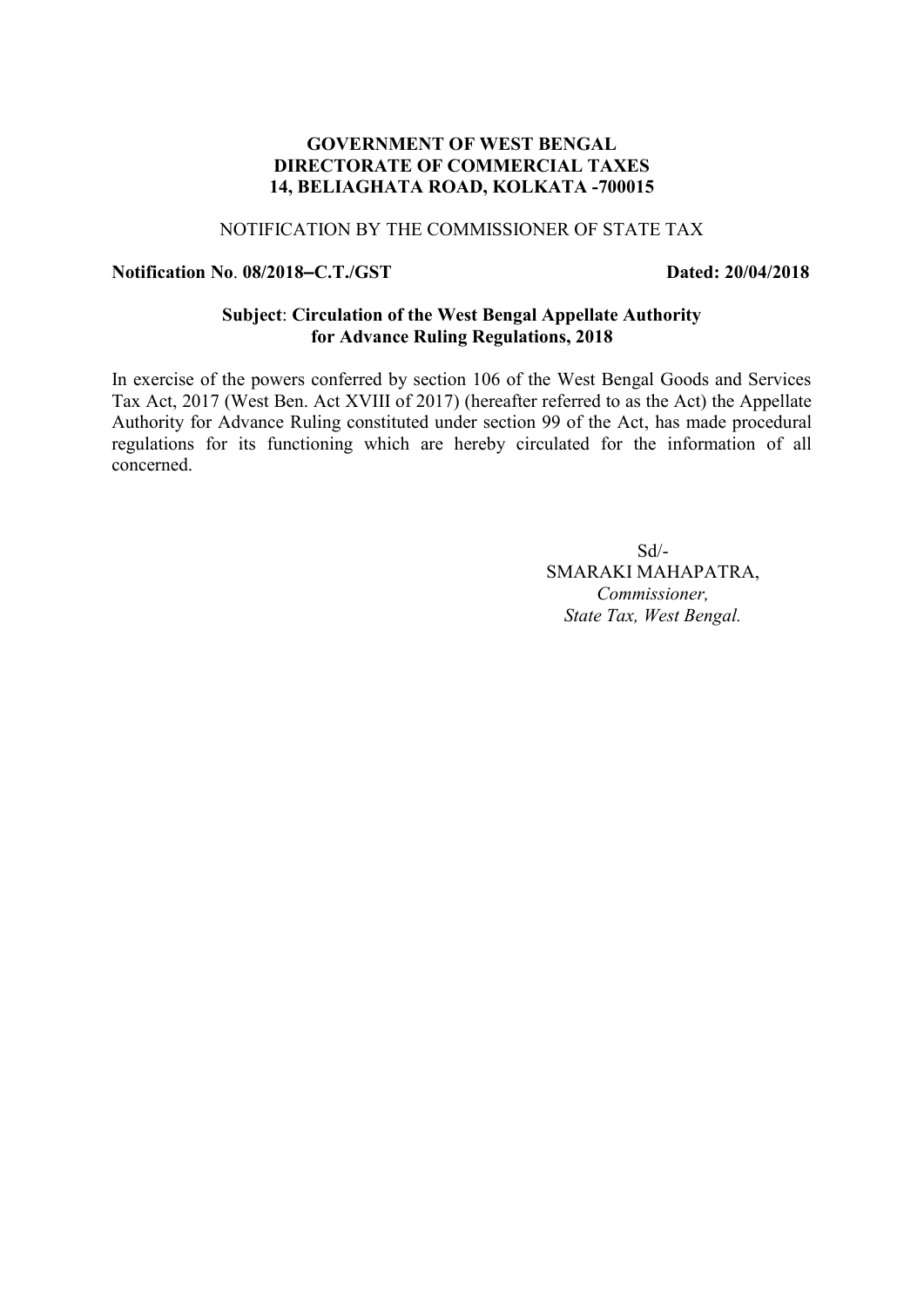## **GOVERNMENT OF WEST BENGAL DIRECTORATE OF COMMERCIAL TAXES 14, BELIAGHATA ROAD, KOLKATA -700015**

# NOTIFICATION BY THE COMMISSIONER OF STATE TAX

### **Notification No**. **08/2018–C.T./GST Dated: 20/04/2018**

### **Subject**: **Circulation of the West Bengal Appellate Authority for Advance Ruling Regulations, 2018**

In exercise of the powers conferred by section 106 of the West Bengal Goods and Services Tax Act, 2017 (West Ben. Act XVIII of 2017) (hereafter referred to as the Act) the Appellate Authority for Advance Ruling constituted under section 99 of the Act, has made procedural regulations for its functioning which are hereby circulated for the information of all concerned.

> $Sd$ <sup>-</sup> SMARAKI MAHAPATRA, *Commissioner, State Tax, West Bengal.*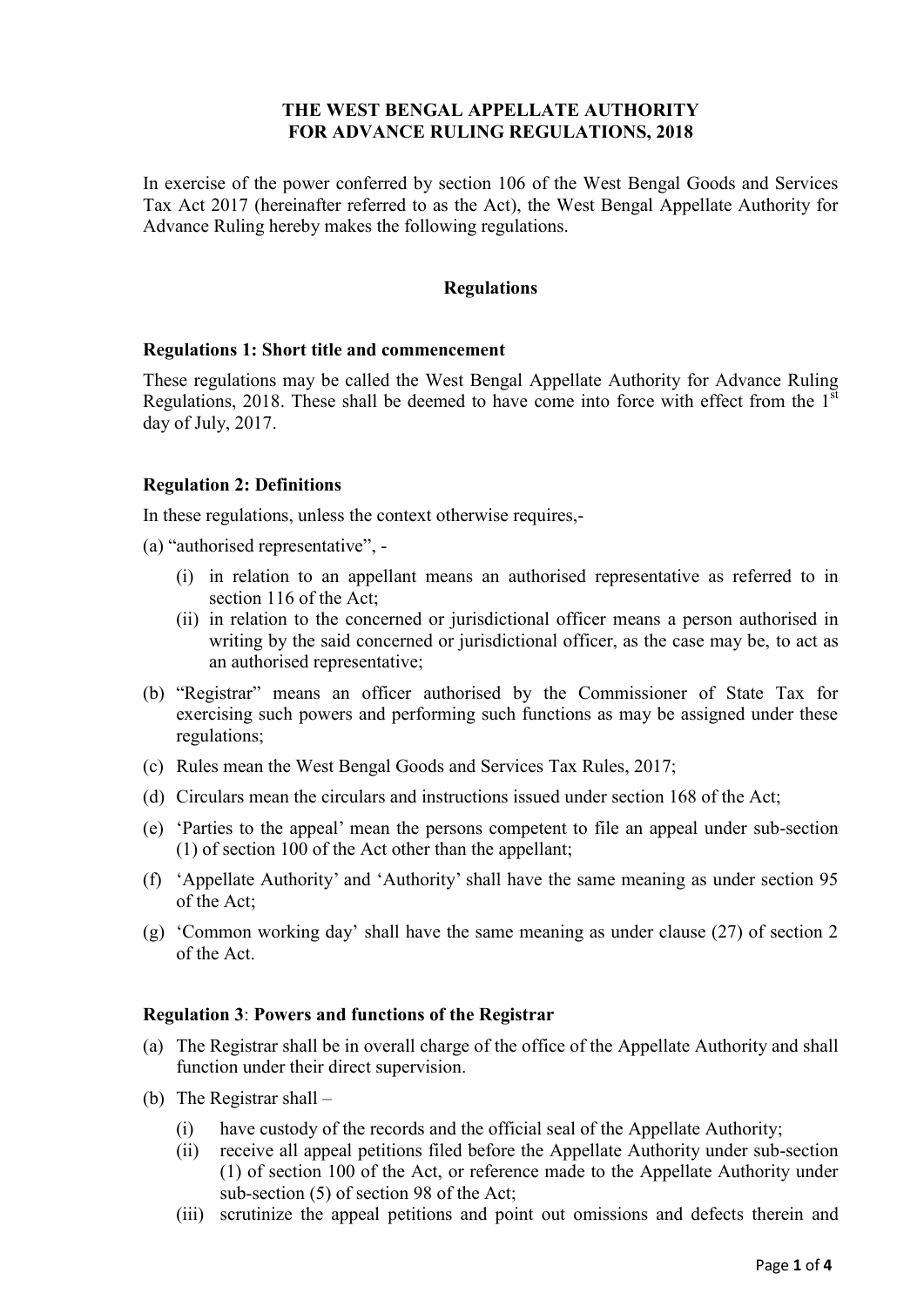## **THE WEST BENGAL APPELLATE AUTHORITY FOR ADVANCE RULING REGULATIONS, 2018**

In exercise of the power conferred by section 106 of the West Bengal Goods and Services Tax Act 2017 (hereinafter referred to as the Act), the West Bengal Appellate Authority for Advance Ruling hereby makes the following regulations.

### **Regulations**

#### **Regulations 1: Short title and commencement**

These regulations may be called the West Bengal Appellate Authority for Advance Ruling Regulations, 2018. These shall be deemed to have come into force with effect from the  $1<sup>st</sup>$ day of July, 2017.

#### **Regulation 2: Definitions**

In these regulations, unless the context otherwise requires,-

- (a) "authorised representative",
	- (i) in relation to an appellant means an authorised representative as referred to in section 116 of the Act;
	- (ii) in relation to the concerned or jurisdictional officer means a person authorised in writing by the said concerned or jurisdictional officer, as the case may be, to act as an authorised representative;
- (b) "Registrar" means an officer authorised by the Commissioner of State Tax for exercising such powers and performing such functions as may be assigned under these regulations;
- (c) Rules mean the West Bengal Goods and Services Tax Rules, 2017;
- (d) Circulars mean the circulars and instructions issued under section 168 of the Act;
- (e) 'Parties to the appeal' mean the persons competent to file an appeal under sub-section (1) of section 100 of the Act other than the appellant;
- (f) 'Appellate Authority' and 'Authority' shall have the same meaning as under section 95 of the Act;
- (g) 'Common working day' shall have the same meaning as under clause (27) of section 2 of the Act.

### **Regulation 3**: **Powers and functions of the Registrar**

- (a) The Registrar shall be in overall charge of the office of the Appellate Authority and shall function under their direct supervision.
- (b) The Registrar shall
	- (i) have custody of the records and the official seal of the Appellate Authority;
	- (ii) receive all appeal petitions filed before the Appellate Authority under sub-section (1) of section 100 of the Act, or reference made to the Appellate Authority under sub-section (5) of section 98 of the Act;
	- (iii) scrutinize the appeal petitions and point out omissions and defects therein and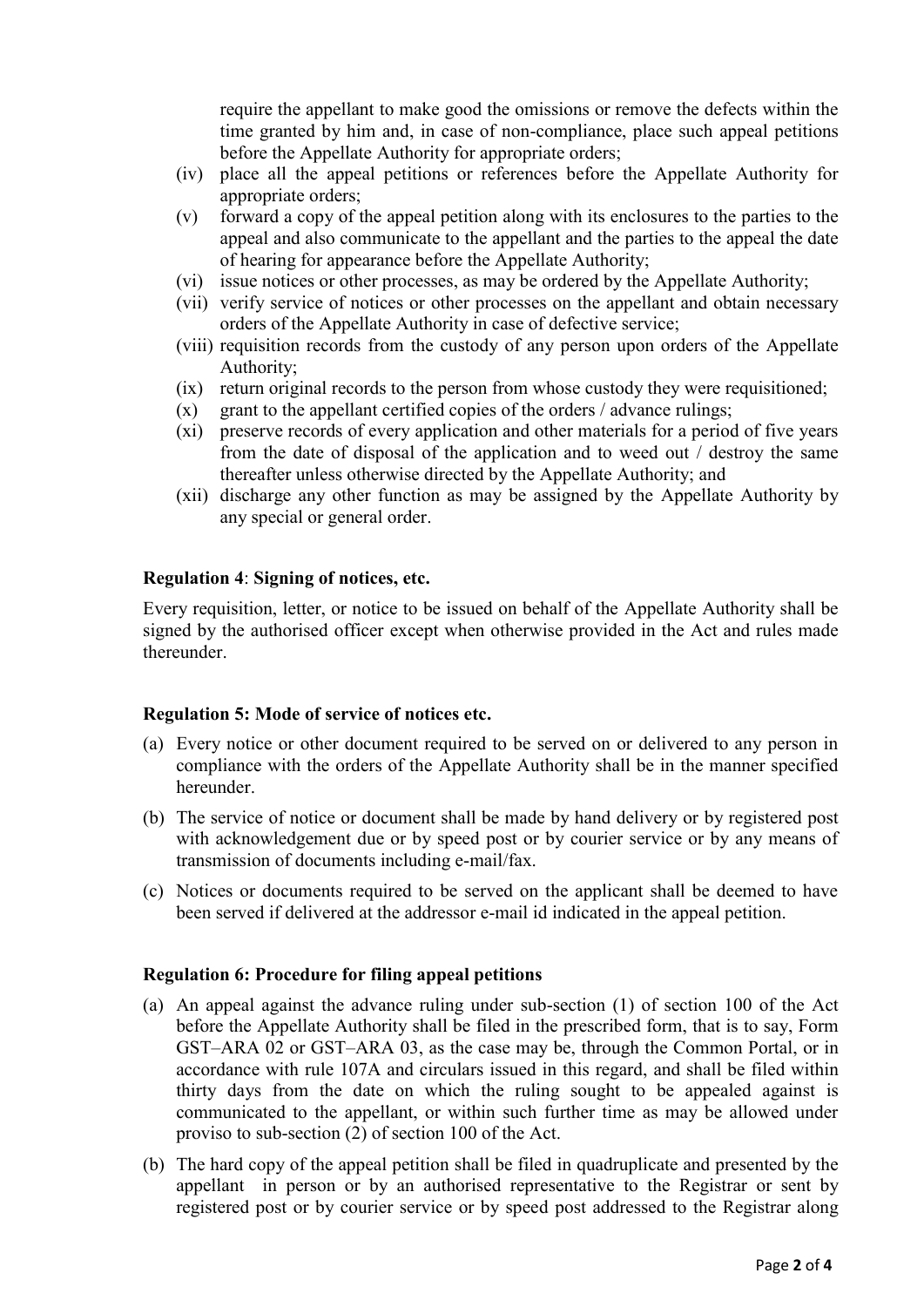require the appellant to make good the omissions or remove the defects within the time granted by him and, in case of non-compliance, place such appeal petitions before the Appellate Authority for appropriate orders;

- (iv) place all the appeal petitions or references before the Appellate Authority for appropriate orders;
- (v) forward a copy of the appeal petition along with its enclosures to the parties to the appeal and also communicate to the appellant and the parties to the appeal the date of hearing for appearance before the Appellate Authority;
- (vi) issue notices or other processes, as may be ordered by the Appellate Authority;
- (vii) verify service of notices or other processes on the appellant and obtain necessary orders of the Appellate Authority in case of defective service;
- (viii) requisition records from the custody of any person upon orders of the Appellate Authority;
- (ix) return original records to the person from whose custody they were requisitioned;
- $(x)$  grant to the appellant certified copies of the orders / advance rulings;
- (xi) preserve records of every application and other materials for a period of five years from the date of disposal of the application and to weed out / destroy the same thereafter unless otherwise directed by the Appellate Authority; and
- (xii) discharge any other function as may be assigned by the Appellate Authority by any special or general order.

### **Regulation 4**: **Signing of notices, etc.**

Every requisition, letter, or notice to be issued on behalf of the Appellate Authority shall be signed by the authorised officer except when otherwise provided in the Act and rules made thereunder.

#### **Regulation 5: Mode of service of notices etc.**

- (a) Every notice or other document required to be served on or delivered to any person in compliance with the orders of the Appellate Authority shall be in the manner specified hereunder.
- (b) The service of notice or document shall be made by hand delivery or by registered post with acknowledgement due or by speed post or by courier service or by any means of transmission of documents including e-mail/fax.
- (c) Notices or documents required to be served on the applicant shall be deemed to have been served if delivered at the addressor e-mail id indicated in the appeal petition.

#### **Regulation 6: Procedure for filing appeal petitions**

- (a) An appeal against the advance ruling under sub-section (1) of section 100 of the Act before the Appellate Authority shall be filed in the prescribed form, that is to say, Form GST–ARA 02 or GST–ARA 03, as the case may be, through the Common Portal, or in accordance with rule 107A and circulars issued in this regard, and shall be filed within thirty days from the date on which the ruling sought to be appealed against is communicated to the appellant, or within such further time as may be allowed under proviso to sub-section (2) of section 100 of the Act.
- (b) The hard copy of the appeal petition shall be filed in quadruplicate and presented by the appellant in person or by an authorised representative to the Registrar or sent by registered post or by courier service or by speed post addressed to the Registrar along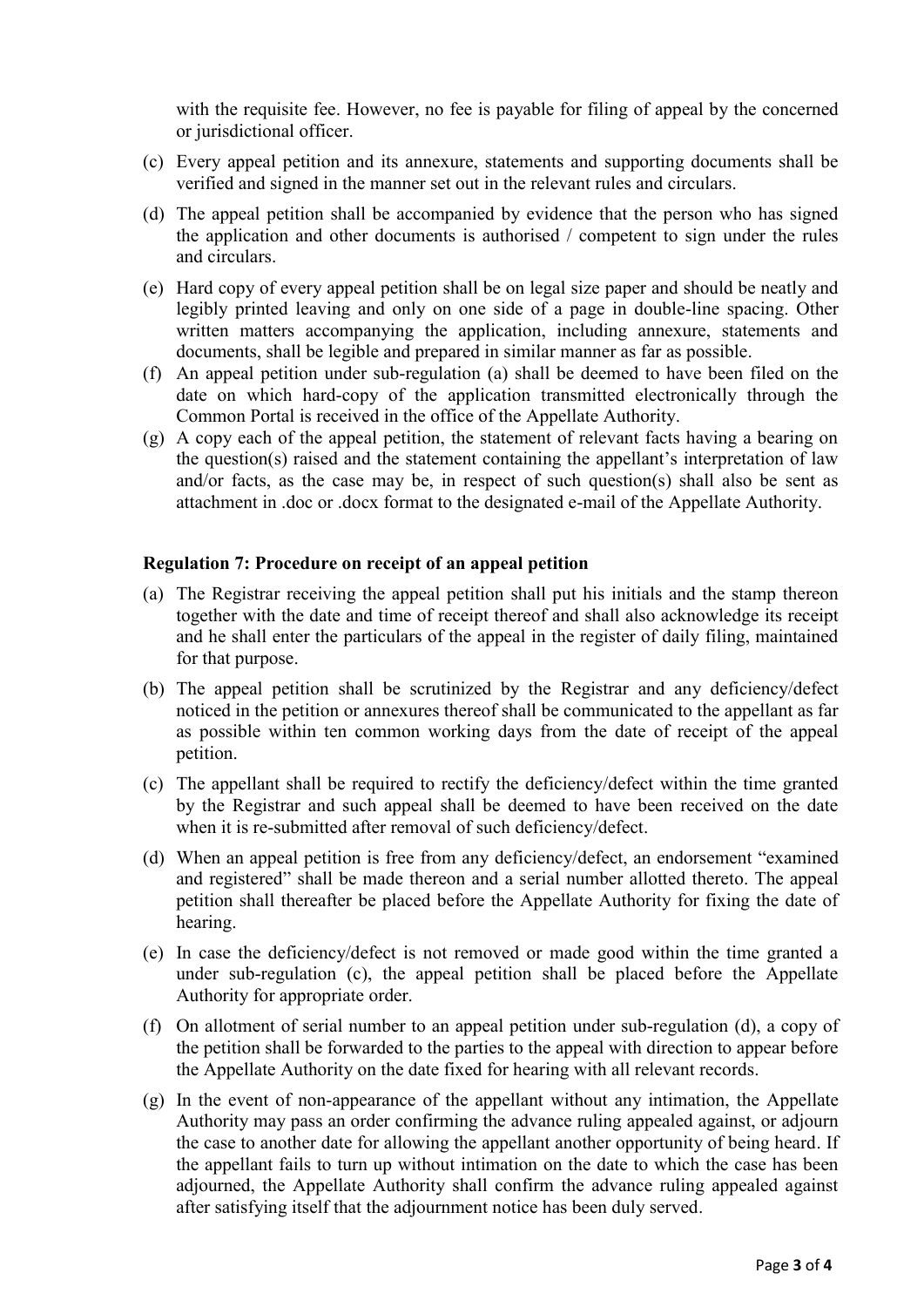with the requisite fee. However, no fee is payable for filing of appeal by the concerned or jurisdictional officer.

- (c) Every appeal petition and its annexure, statements and supporting documents shall be verified and signed in the manner set out in the relevant rules and circulars.
- (d) The appeal petition shall be accompanied by evidence that the person who has signed the application and other documents is authorised / competent to sign under the rules and circulars.
- (e) Hard copy of every appeal petition shall be on legal size paper and should be neatly and legibly printed leaving and only on one side of a page in double-line spacing. Other written matters accompanying the application, including annexure, statements and documents, shall be legible and prepared in similar manner as far as possible.
- (f) An appeal petition under sub-regulation (a) shall be deemed to have been filed on the date on which hard-copy of the application transmitted electronically through the Common Portal is received in the office of the Appellate Authority.
- (g) A copy each of the appeal petition, the statement of relevant facts having a bearing on the question(s) raised and the statement containing the appellant's interpretation of law and/or facts, as the case may be, in respect of such question(s) shall also be sent as attachment in .doc or .docx format to the designated e-mail of the Appellate Authority.

#### **Regulation 7: Procedure on receipt of an appeal petition**

- (a) The Registrar receiving the appeal petition shall put his initials and the stamp thereon together with the date and time of receipt thereof and shall also acknowledge its receipt and he shall enter the particulars of the appeal in the register of daily filing, maintained for that purpose.
- (b) The appeal petition shall be scrutinized by the Registrar and any deficiency/defect noticed in the petition or annexures thereof shall be communicated to the appellant as far as possible within ten common working days from the date of receipt of the appeal petition.
- (c) The appellant shall be required to rectify the deficiency/defect within the time granted by the Registrar and such appeal shall be deemed to have been received on the date when it is re-submitted after removal of such deficiency/defect.
- (d) When an appeal petition is free from any deficiency/defect, an endorsement "examined and registered" shall be made thereon and a serial number allotted thereto. The appeal petition shall thereafter be placed before the Appellate Authority for fixing the date of hearing.
- (e) In case the deficiency/defect is not removed or made good within the time granted a under sub-regulation (c), the appeal petition shall be placed before the Appellate Authority for appropriate order.
- (f) On allotment of serial number to an appeal petition under sub-regulation (d), a copy of the petition shall be forwarded to the parties to the appeal with direction to appear before the Appellate Authority on the date fixed for hearing with all relevant records.
- (g) In the event of non-appearance of the appellant without any intimation, the Appellate Authority may pass an order confirming the advance ruling appealed against, or adjourn the case to another date for allowing the appellant another opportunity of being heard. If the appellant fails to turn up without intimation on the date to which the case has been adjourned, the Appellate Authority shall confirm the advance ruling appealed against after satisfying itself that the adjournment notice has been duly served.